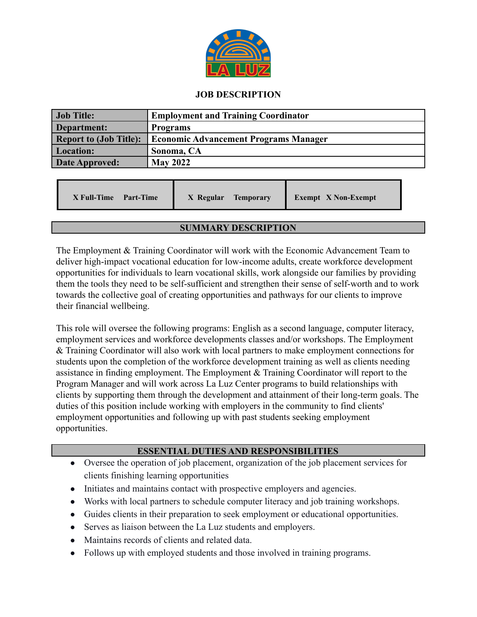

### **JOB DESCRIPTION**

| <b>Job Title:</b>             | <b>Employment and Training Coordinator</b>   |  |
|-------------------------------|----------------------------------------------|--|
| Department:                   | <b>Programs</b>                              |  |
| <b>Report to (Job Title):</b> | <b>Economic Advancement Programs Manager</b> |  |
| Location:                     | Sonoma, CA                                   |  |
| Date Approved:                | <b>May 2022</b>                              |  |

| X Full-Time Part-Time | X Regular<br><b>Temporary</b> | <b>Exempt X Non-Exempt</b> |
|-----------------------|-------------------------------|----------------------------|
|-----------------------|-------------------------------|----------------------------|

### **SUMMARY DESCRIPTION**

The Employment & Training Coordinator will work with the Economic Advancement Team to deliver high-impact vocational education for low-income adults, create workforce development opportunities for individuals to learn vocational skills, work alongside our families by providing them the tools they need to be self-sufficient and strengthen their sense of self-worth and to work towards the collective goal of creating opportunities and pathways for our clients to improve their financial wellbeing.

This role will oversee the following programs: English as a second language, computer literacy, employment services and workforce developments classes and/or workshops. The Employment & Training Coordinator will also work with local partners to make employment connections for students upon the completion of the workforce development training as well as clients needing assistance in finding employment. The Employment & Training Coordinator will report to the Program Manager and will work across La Luz Center programs to build relationships with clients by supporting them through the development and attainment of their long-term goals. The duties of this position include working with employers in the community to find clients' employment opportunities and following up with past students seeking employment opportunities.

## **ESSENTIAL DUTIES AND RESPONSIBILITIES**

- Oversee the operation of job placement, organization of the job placement services for clients finishing learning opportunities
- Initiates and maintains contact with prospective employers and agencies.
- Works with local partners to schedule computer literacy and job training workshops.
- Guides clients in their preparation to seek employment or educational opportunities.
- Serves as liaison between the La Luz students and employers.
- Maintains records of clients and related data.
- Follows up with employed students and those involved in training programs.